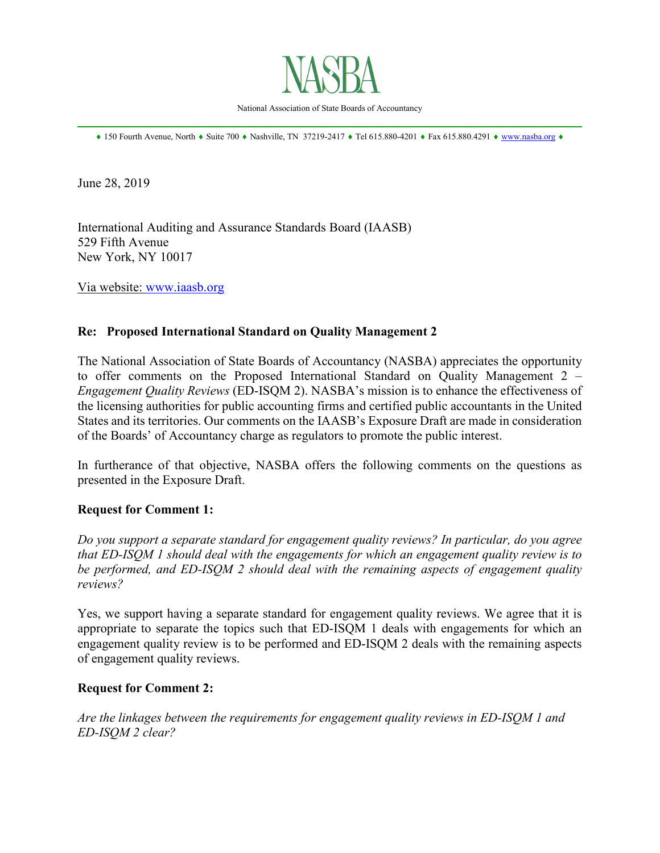

National Association of State Boards of Accountancy \_\_\_\_\_\_\_\_\_\_\_\_\_\_\_\_\_\_\_\_\_\_\_\_\_\_\_\_\_\_\_\_\_\_\_\_\_\_\_\_\_\_\_\_\_\_\_\_\_\_\_\_\_\_\_\_\_\_\_\_\_\_\_\_\_\_\_\_\_\_\_\_\_\_\_\_\_\_

♦ 150 Fourth Avenue, North ♦ Suite 700 ♦ Nashville, TN 37219-2417 ♦ Tel 615.880-4201 ♦ Fax 615.880.4291 ♦ [www.nasba.org](http://www.nasba.org/) ♦

June 28, 2019

International Auditing and Assurance Standards Board (IAASB) 529 Fifth Avenue New York, NY 10017

Via website: [www.iaasb.org](http://www.iaasb.org/)

### **Re: Proposed International Standard on Quality Management 2**

The National Association of State Boards of Accountancy (NASBA) appreciates the opportunity to offer comments on the Proposed International Standard on Quality Management 2 – *Engagement Quality Reviews* (ED-ISQM 2). NASBA's mission is to enhance the effectiveness of the licensing authorities for public accounting firms and certified public accountants in the United States and its territories. Our comments on the IAASB's Exposure Draft are made in consideration of the Boards' of Accountancy charge as regulators to promote the public interest.

In furtherance of that objective, NASBA offers the following comments on the questions as presented in the Exposure Draft.

#### **Request for Comment 1:**

*Do you support a separate standard for engagement quality reviews? In particular, do you agree that ED-ISQM 1 should deal with the engagements for which an engagement quality review is to be performed, and ED-ISQM 2 should deal with the remaining aspects of engagement quality reviews?*

Yes, we support having a separate standard for engagement quality reviews. We agree that it is appropriate to separate the topics such that ED-ISQM 1 deals with engagements for which an engagement quality review is to be performed and ED-ISQM 2 deals with the remaining aspects of engagement quality reviews.

#### **Request for Comment 2:**

*Are the linkages between the requirements for engagement quality reviews in ED-ISQM 1 and ED-ISQM 2 clear?*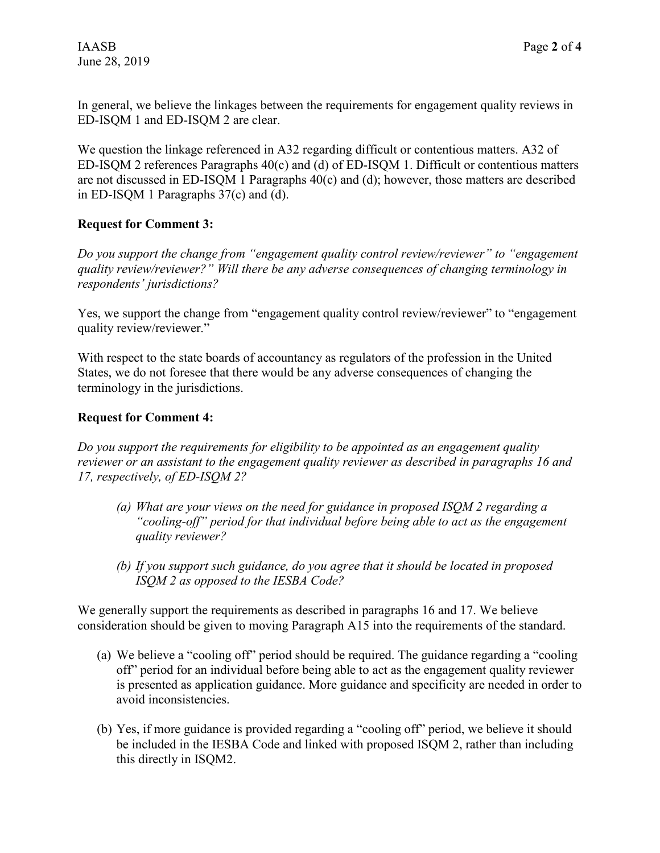In general, we believe the linkages between the requirements for engagement quality reviews in ED-ISQM 1 and ED-ISQM 2 are clear.

We question the linkage referenced in A32 regarding difficult or contentious matters. A32 of ED-ISQM 2 references Paragraphs 40(c) and (d) of ED-ISQM 1. Difficult or contentious matters are not discussed in ED-ISQM 1 Paragraphs 40(c) and (d); however, those matters are described in ED-ISQM 1 Paragraphs 37(c) and (d).

# **Request for Comment 3:**

*Do you support the change from "engagement quality control review/reviewer" to "engagement quality review/reviewer?" Will there be any adverse consequences of changing terminology in respondents' jurisdictions?*

Yes, we support the change from "engagement quality control review/reviewer" to "engagement quality review/reviewer."

With respect to the state boards of accountancy as regulators of the profession in the United States, we do not foresee that there would be any adverse consequences of changing the terminology in the jurisdictions.

# **Request for Comment 4:**

*Do you support the requirements for eligibility to be appointed as an engagement quality reviewer or an assistant to the engagement quality reviewer as described in paragraphs 16 and 17, respectively, of ED-ISQM 2?*

- *(a) What are your views on the need for guidance in proposed ISQM 2 regarding a "cooling-off" period for that individual before being able to act as the engagement quality reviewer?*
- *(b) If you support such guidance, do you agree that it should be located in proposed ISQM 2 as opposed to the IESBA Code?*

We generally support the requirements as described in paragraphs 16 and 17. We believe consideration should be given to moving Paragraph A15 into the requirements of the standard.

- (a) We believe a "cooling off" period should be required. The guidance regarding a "cooling off" period for an individual before being able to act as the engagement quality reviewer is presented as application guidance. More guidance and specificity are needed in order to avoid inconsistencies.
- (b) Yes, if more guidance is provided regarding a "cooling off" period, we believe it should be included in the IESBA Code and linked with proposed ISQM 2, rather than including this directly in ISQM2.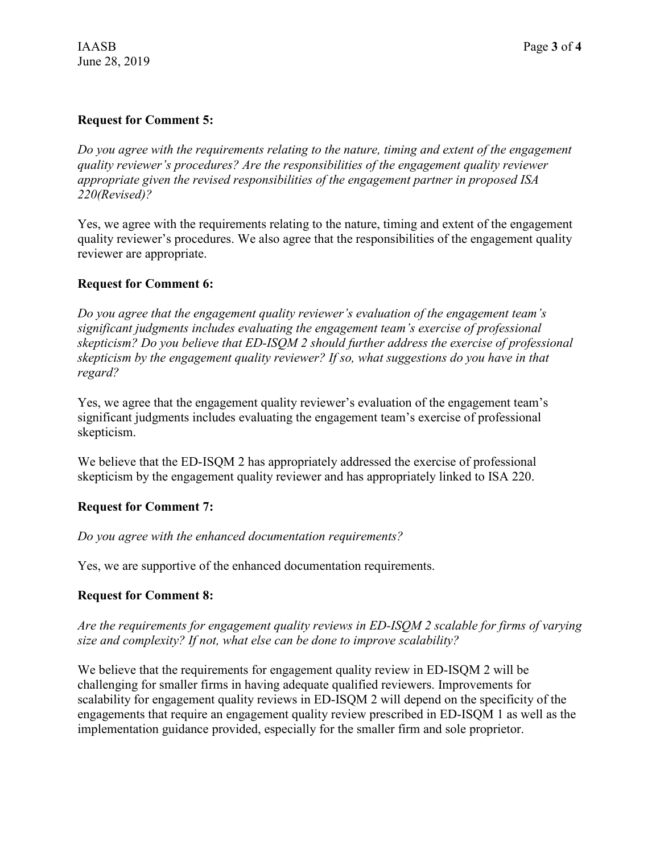#### **Request for Comment 5:**

*Do you agree with the requirements relating to the nature, timing and extent of the engagement quality reviewer's procedures? Are the responsibilities of the engagement quality reviewer appropriate given the revised responsibilities of the engagement partner in proposed ISA 220(Revised)?*

Yes, we agree with the requirements relating to the nature, timing and extent of the engagement quality reviewer's procedures. We also agree that the responsibilities of the engagement quality reviewer are appropriate.

#### **Request for Comment 6:**

*Do you agree that the engagement quality reviewer's evaluation of the engagement team's significant judgments includes evaluating the engagement team's exercise of professional skepticism? Do you believe that ED-ISQM 2 should further address the exercise of professional skepticism by the engagement quality reviewer? If so, what suggestions do you have in that regard?*

Yes, we agree that the engagement quality reviewer's evaluation of the engagement team's significant judgments includes evaluating the engagement team's exercise of professional skepticism.

We believe that the ED-ISQM 2 has appropriately addressed the exercise of professional skepticism by the engagement quality reviewer and has appropriately linked to ISA 220.

# **Request for Comment 7:**

*Do you agree with the enhanced documentation requirements?*

Yes, we are supportive of the enhanced documentation requirements.

# **Request for Comment 8:**

*Are the requirements for engagement quality reviews in ED-ISQM 2 scalable for firms of varying size and complexity? If not, what else can be done to improve scalability?*

We believe that the requirements for engagement quality review in ED-ISQM 2 will be challenging for smaller firms in having adequate qualified reviewers. Improvements for scalability for engagement quality reviews in ED-ISQM 2 will depend on the specificity of the engagements that require an engagement quality review prescribed in ED-ISQM 1 as well as the implementation guidance provided, especially for the smaller firm and sole proprietor.